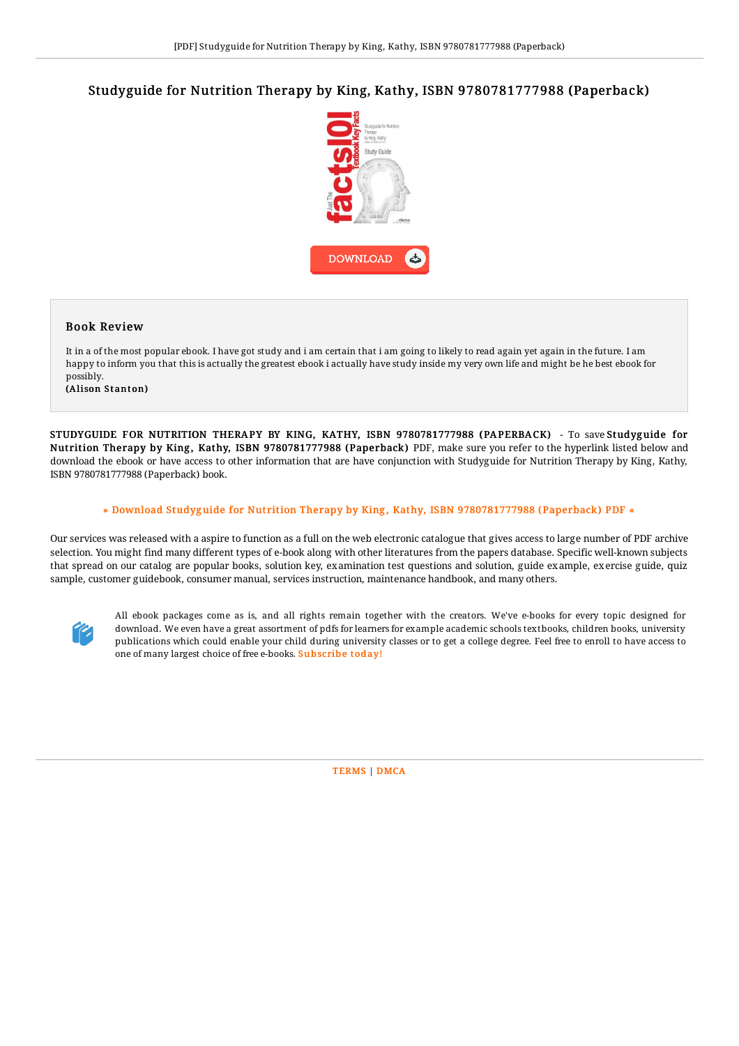## Studyguide for Nutrition Therapy by King, Kathy, ISBN 9780781777988 (Paperback)



## Book Review

It in a of the most popular ebook. I have got study and i am certain that i am going to likely to read again yet again in the future. I am happy to inform you that this is actually the greatest ebook i actually have study inside my very own life and might be he best ebook for possibly.

(Alison Stanton)

STUDYGUIDE FOR NUTRITION THERAPY BY KING, KATHY, ISBN 9780781777988 (PAPERBACK) - To save Studyg uide for Nutrition Therapy by King , Kathy, ISBN 9780781777988 (Paperback) PDF, make sure you refer to the hyperlink listed below and download the ebook or have access to other information that are have conjunction with Studyguide for Nutrition Therapy by King, Kathy, ISBN 9780781777988 (Paperback) book.

## » Download Studyguide for Nutrition Therapy by King, Kathy, ISBN [9780781777988](http://almighty24.tech/studyguide-for-nutrition-therapy-by-king-kathy-i.html) (Paperback) PDF «

Our services was released with a aspire to function as a full on the web electronic catalogue that gives access to large number of PDF archive selection. You might find many different types of e-book along with other literatures from the papers database. Specific well-known subjects that spread on our catalog are popular books, solution key, examination test questions and solution, guide example, exercise guide, quiz sample, customer guidebook, consumer manual, services instruction, maintenance handbook, and many others.



All ebook packages come as is, and all rights remain together with the creators. We've e-books for every topic designed for download. We even have a great assortment of pdfs for learners for example academic schools textbooks, children books, university publications which could enable your child during university classes or to get a college degree. Feel free to enroll to have access to one of many largest choice of free e-books. [Subscribe](http://almighty24.tech/studyguide-for-nutrition-therapy-by-king-kathy-i.html) today!